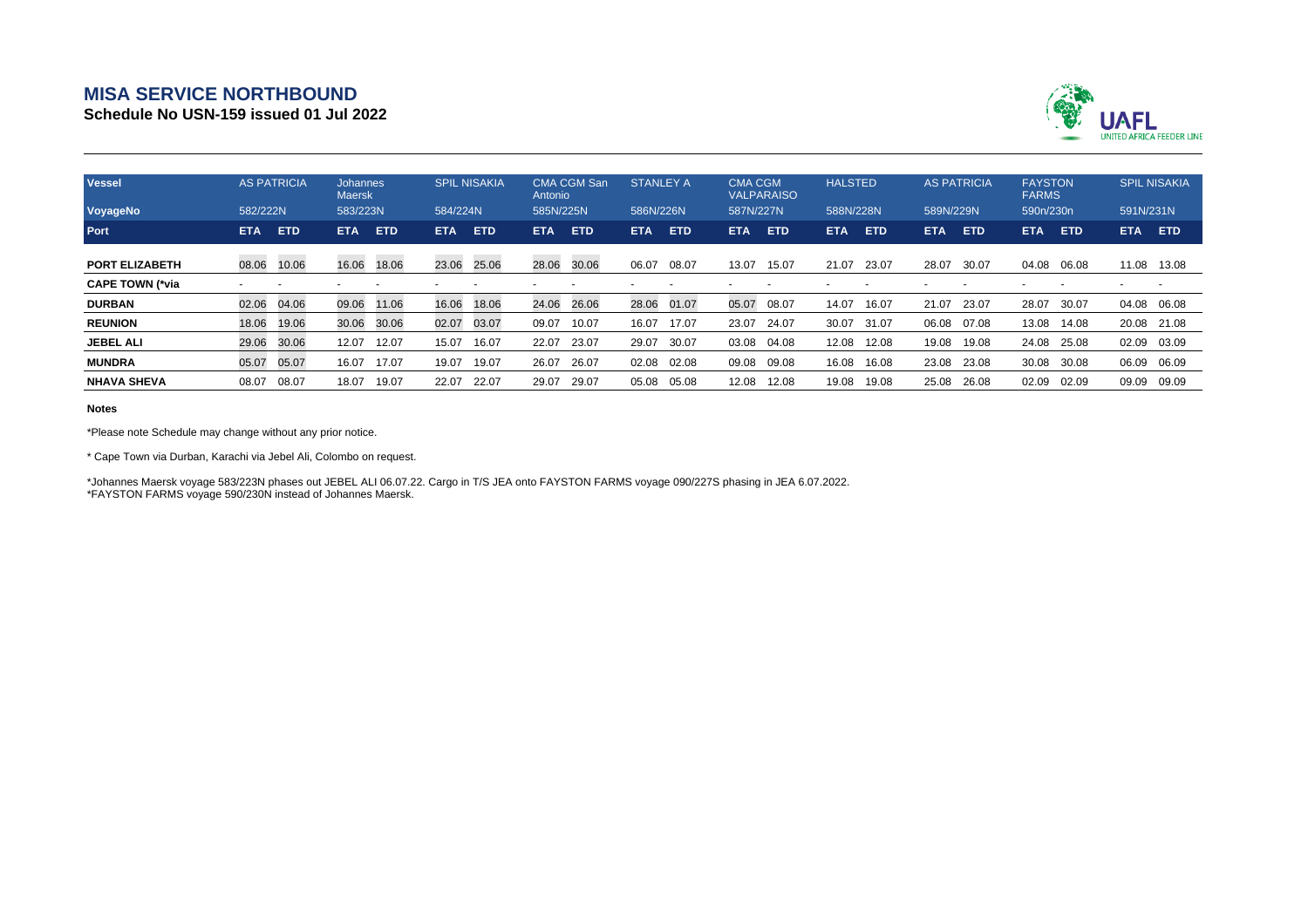## **MISA SERVICE NORTHBOUND**

**Schedule No USN-159 issued 01 Jul 2022**



| <b>Vessel</b>          | <b>AS PATRICIA</b>       |            | <b>Johannes</b><br><b>Maersk</b> |            | <b>SPIL NISAKIA</b> |            | <b>CMA CGM San</b><br>Antonio |            | <b>STANLEY A</b> |            | <b>CMA CGM</b><br><b>VALPARAISO</b> |            | <b>HALSTED</b> |       | <b>AS PATRICIA</b> |            | <b>FAYSTON</b><br><b>FARMS</b> |            | <b>SPIL NISAKIA</b> |            |
|------------------------|--------------------------|------------|----------------------------------|------------|---------------------|------------|-------------------------------|------------|------------------|------------|-------------------------------------|------------|----------------|-------|--------------------|------------|--------------------------------|------------|---------------------|------------|
| VoyageNo               | 582/222N                 |            | 583/223N                         |            | 584/224N            |            | 585N/225N                     |            | 586N/226N        |            | 587N/227N                           |            | 588N/228N      |       | 589N/229N          |            | 590n/230n                      |            | 591N/231N           |            |
| Port                   | <b>ETA</b>               | <b>ETD</b> | <b>ETA</b>                       | <b>ETD</b> | <b>ETA</b>          | <b>ETD</b> | <b>ETA</b>                    | <b>ETD</b> | <b>ETA</b>       | <b>ETD</b> | <b>ETA</b>                          | <b>ETD</b> | <b>ETA</b>     | ETD   | <b>ETA</b>         | <b>ETD</b> | ETA.                           | <b>ETD</b> | <b>ETA</b>          | <b>ETD</b> |
| <b>PORT ELIZABETH</b>  | 08.06                    | 10.06      | 16.06                            | 18.06      | 23.06               | 25.06      | 28.06                         | 30.06      | 06.07            | 08.07      | 13.07                               | 15.07      | 21.07          | 23.07 | 28.07              | 30.07      | 04.08                          | 06.08      | 11.08 13.08         |            |
| <b>CAPE TOWN (*via</b> | $\overline{\phantom{a}}$ |            |                                  |            |                     |            |                               |            |                  |            |                                     |            |                |       |                    |            |                                |            |                     |            |
| <b>DURBAN</b>          | 02.06                    | 04.06      | 09.06                            | 11.06      | 16.06               | 18.06      | 24.06                         | 26.06      | 28.06            | 01.07      | 05.07                               | 08.07      | 14.07          | 16.07 | 21.07              | 23.07      | 28.07                          | 30.07      | 04.08               | 06.08      |
| <b>REUNION</b>         | 18.06                    | 19.06      | 30.06                            | 30.06      | 02.07               | 03.07      | 09.07                         | 10.07      | 16.07            | 17.07      | 23.07                               | 24.07      | 30.07          | 31.07 | 06.08              | 07.08      | 13.08                          | 14.08      | 20.08               | 21.08      |
| <b>JEBEL ALI</b>       | 29.06                    | 30.06      | 12.07                            | 12.07      | 15.07               | 16.07      | 22.07                         | 23.07      | 29.07            | 30.07      | 03.08                               | 04.08      | 12.08          | 12.08 | 19.08              | 19.08      | 24.08                          | 25.08      | 02.09               | 03.09      |
| <b>MUNDRA</b>          | 05.07                    | 05.07      | 16.07                            | 17.07      | 19.07               | 19.07      | 26.07                         | 26.07      | 02.08            | 02.08      | 09.08                               | 09.08      | 16.08          | 16.08 | 23.08              | 23.08      | 30.08                          | 30.08      | 06.09               | 06.09      |
| <b>NHAVA SHEVA</b>     | 08.07                    | 08.07      | 18.07                            | 19.07      | 22.07               | 22.07      | 29.07                         | 29.07      | 05.08            | 05.08      | 12.08                               | 12.08      | 19.08          | 19.08 | 25.08              | 26.08      | 02.09                          | 02.09      | 09.09               | 09.09      |

## **Notes**

\*Please note Schedule may change without any prior notice.

\* Cape Town via Durban, Karachi via Jebel Ali, Colombo on request.

\*Johannes Maersk voyage 583/223N phases out JEBEL ALI 06.07.22. Cargo in T/S JEA onto FAYSTON FARMS voyage 090/227S phasing in JEA 6.07.2022. \*FAYSTON FARMS voyage 590/230N instead of Johannes Maersk.